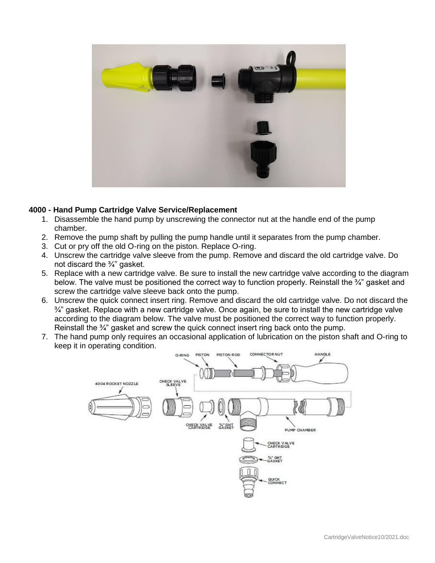

## **4000 - Hand Pump Cartridge Valve Service/Replacement**

- 1. Disassemble the hand pump by unscrewing the connector nut at the handle end of the pump chamber.
- 2. Remove the pump shaft by pulling the pump handle until it separates from the pump chamber.
- 3. Cut or pry off the old O-ring on the piston. Replace O-ring.
- 4. Unscrew the cartridge valve sleeve from the pump. Remove and discard the old cartridge valve. Do not discard the ¾" gasket.
- 5. Replace with a new cartridge valve. Be sure to install the new cartridge valve according to the diagram below. The valve must be positioned the correct way to function properly. Reinstall the  $\frac{3}{4}$  gasket and screw the cartridge valve sleeve back onto the pump.
- 6. Unscrew the quick connect insert ring. Remove and discard the old cartridge valve. Do not discard the  $\frac{3}{4}$  gasket. Replace with a new cartridge valve. Once again, be sure to install the new cartridge valve according to the diagram below. The valve must be positioned the correct way to function properly. Reinstall the  $\frac{3}{4}$ " gasket and screw the quick connect insert ring back onto the pump.
- 7. The hand pump only requires an occasional application of lubrication on the piston shaft and O-ring to keep it in operating condition.